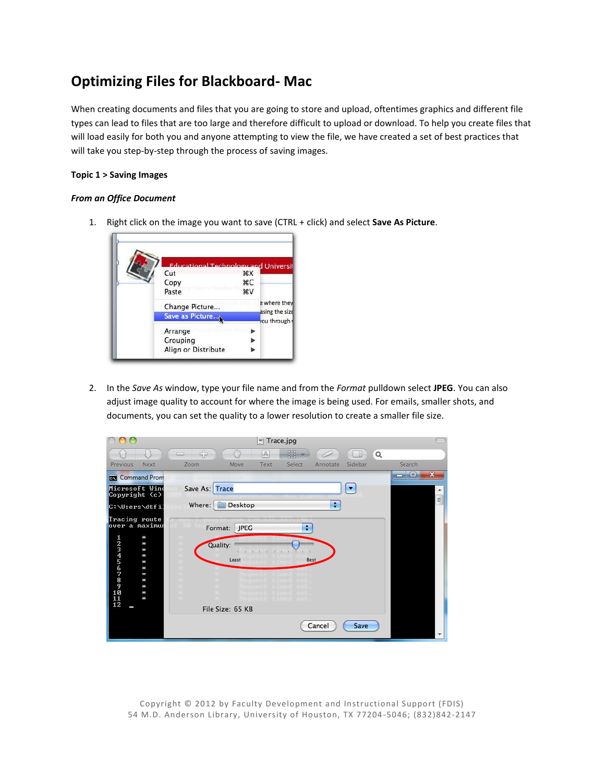## **Optimizing Files for Blackboard- Mac**

When creating documents and files that you are going to store and upload, oftentimes graphics and different file types can lead to files that are too large and therefore difficult to upload or download. To help you create files that will load easily for both you and anyone attempting to view the file, we have created a set of best practices that will take you step-by-step through the process of saving images.

## **Topic 1 > Saving Images**

## *From an Office Document*

1. Right click on the image you want to save (CTRL + click) and select **Save As Picture**.



2. In the *Save As* window, type your file name and from the *Format* pulldown select **JPEG**. You can also adjust image quality to account for where the image is being used. For emails, smaller shots, and documents, you can set the quality to a lower resolution to create a smaller file size.

|                                                                                                                                            | $\mathbb{F}$ Trace.jpg                                                                                |                          |
|--------------------------------------------------------------------------------------------------------------------------------------------|-------------------------------------------------------------------------------------------------------|--------------------------|
|                                                                                                                                            | SU)<br>45<br>鶥<br>$\mathbb{A}$<br>Q<br>-8                                                             |                          |
| Previous<br>Next                                                                                                                           | Sidebar<br>Select<br>Move<br>Text<br>Zoom<br>Annotate                                                 | Search                   |
| <b>Command Prom</b>                                                                                                                        |                                                                                                       | $\mathbf x$<br>mari Elab |
| Microsoft Wind<br>Copyright (c)                                                                                                            | Save As: Trace<br>▼                                                                                   | ▲                        |
| C:\Users\dtfil                                                                                                                             | ÷<br><b>Desktop</b><br>Where:<br>Ē                                                                    | $\equiv$                 |
| Tracing route<br>over a maximur<br>12345678989898989898<br>$\star$<br>₩<br>₩<br>₩<br>$\star$<br>₩<br>₩<br>₩<br>₩<br>$\ast$<br>$\star$<br>l | ÷<br>Format:<br><b>JPEG</b><br>Quality:<br>Least<br><b>Best</b><br>File Size: 65 KB<br>Cancel<br>Save |                          |

Copyright © 2012 by Faculty Development and Instructional Support (FDIS) 54 M.D. Anderson Library, University of Houston, TX 77204 -5046; (832)842-2147